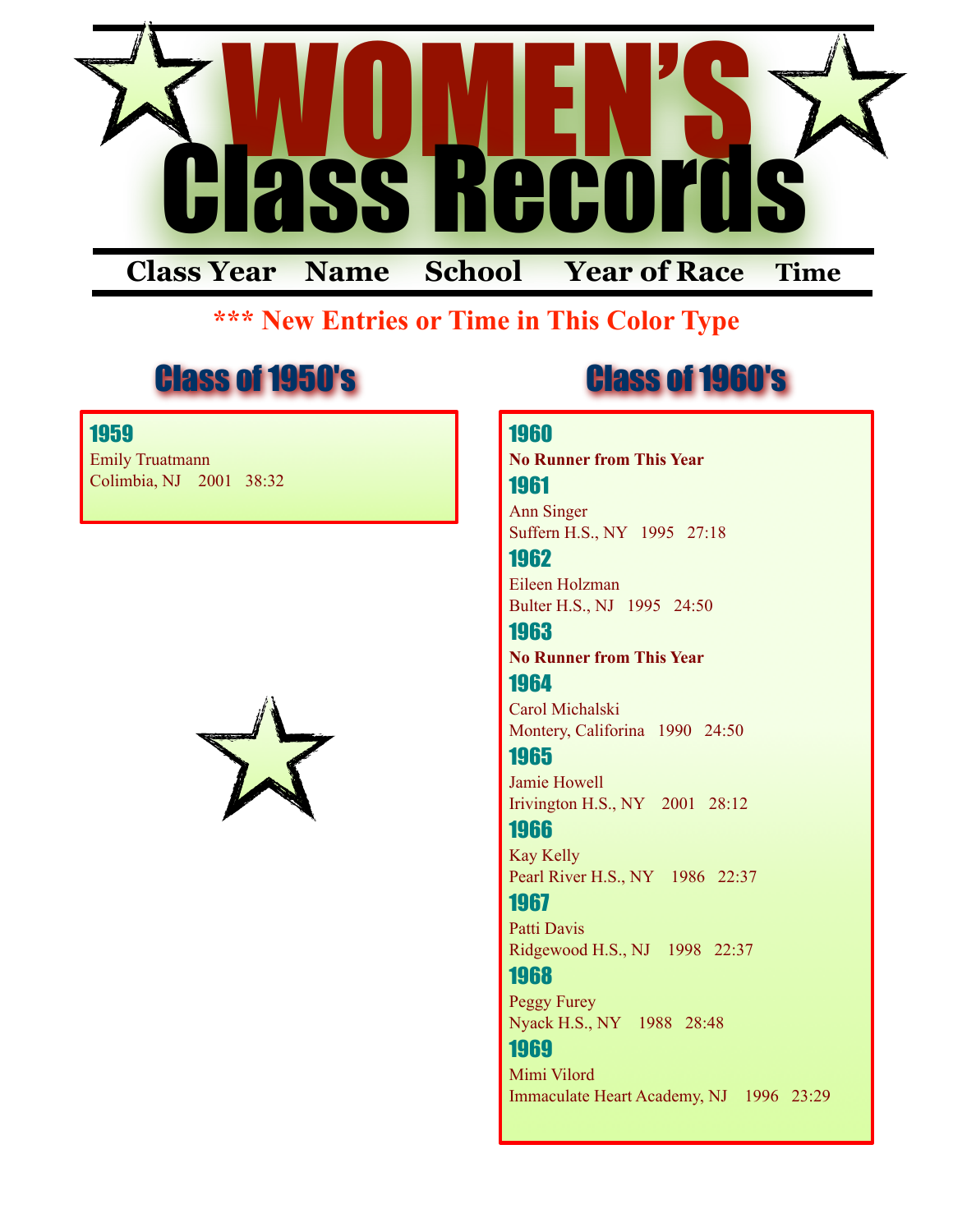

### **\*\*\* New Entries or Time in This Color Type**

### Class of 1950's Class of 1960's

### 1959

Emily Truatmann Colimbia, NJ 2001 38:32



#### 1960

**No Runner from This Year** 1961

Ann Singer Suffern H.S., NY 1995 27:18

1962 Eileen Holzman Bulter H.S., NJ 1995 24:50

1963 **No Runner from This Year** 1964

Carol Michalski Montery, Califorina 1990 24:50

1965 Jamie Howell Irivington H.S., NY 2001 28:12

### 1966

Kay Kelly Pearl River H.S., NY 1986 22:37

1967

Patti Davis Ridgewood H.S., NJ 1998 22:37

1968

Peggy Furey Nyack H.S., NY 1988 28:48

### 1969

Mimi Vilord Immaculate Heart Academy, NJ 1996 23:29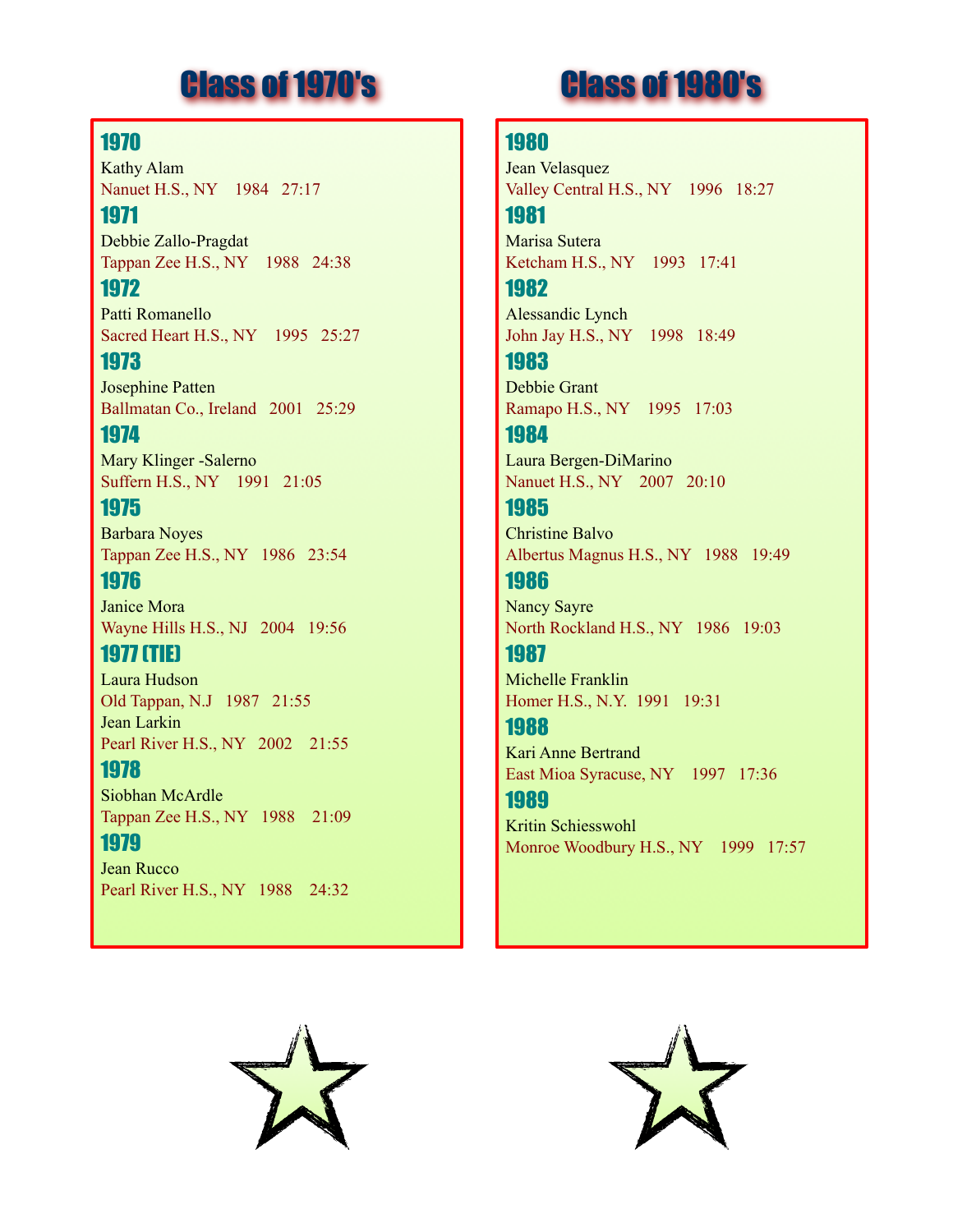### 1970

Kathy Alam Nanuet H.S., NY 1984 27:17

1971 Debbie Zallo-Pragdat Tappan Zee H.S., NY 1988 24:38

1972 Patti Romanello Sacred Heart H.S., NY 1995 25:27

1973 Josephine Patten Ballmatan Co., Ireland 2001 25:29

1974 Mary Klinger -Salerno Suffern H.S., NY 1991 21:05

1975 Barbara Noyes Tappan Zee H.S., NY 1986 23:54

1976 Janice Mora Wayne Hills H.S., NJ 2004 19:56

1977 (TIE) Laura Hudson Old Tappan, N.J 1987 21:55 Jean Larkin Pearl River H.S., NY 2002 21:55

1978 Siobhan McArdle Tappan Zee H.S., NY 1988 21:09

1979 Jean Rucco Pearl River H.S., NY 1988 24:32

### Class of 1970's Class of 1980's

### 1980

Jean Velasquez Valley Central H.S., NY 1996 18:27

1981 Marisa Sutera Ketcham H.S., NY 1993 17:41

1982 Alessandic Lynch John Jay H.S., NY 1998 18:49

1983 Debbie Grant Ramapo H.S., NY 1995 17:03

1984 Laura Bergen-DiMarino Nanuet H.S., NY 2007 20:10

1985 Christine Balvo Albertus Magnus H.S., NY 1988 19:49

1986 Nancy Sayre North Rockland H.S., NY 1986 19:03

1987 Michelle Franklin Homer H.S., N.Y. 1991 19:31

1988 Kari Anne Bertrand East Mioa Syracuse, NY 1997 17:36

1989 Kritin Schiesswohl Monroe Woodbury H.S., NY 1999 17:57



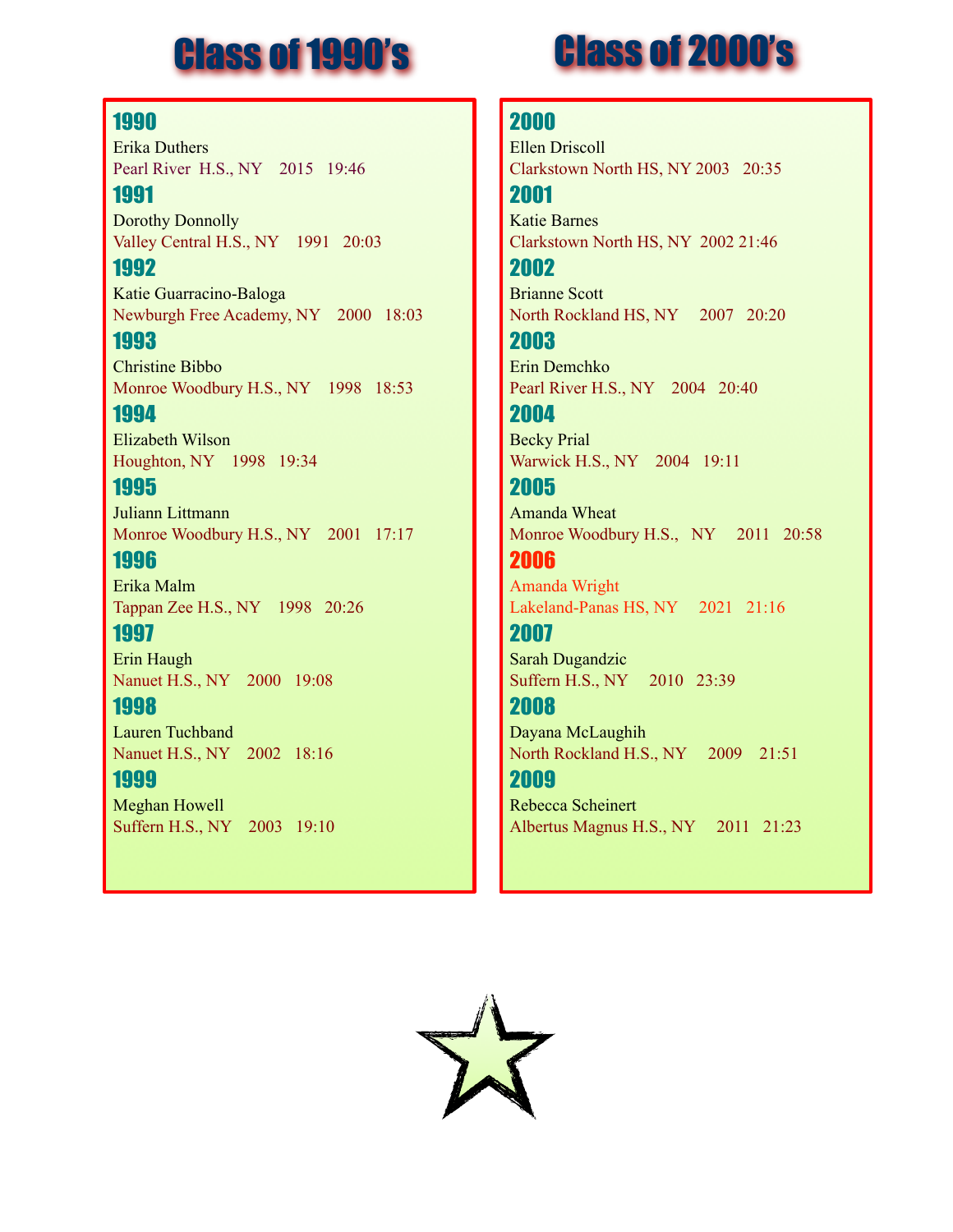### Class of 1990's

## Class of 2000's

### 1990

Erika Duthers Pearl River H.S., NY 2015 19:46 1991

Dorothy Donnolly Valley Central H.S., NY 1991 20:03

1992 Katie Guarracino-Baloga Newburgh Free Academy, NY 2000 18:03

1993 Christine Bibbo Monroe Woodbury H.S., NY 1998 18:53 1994

Elizabeth Wilson Houghton, NY 1998 19:34

### 1995

Juliann Littmann Monroe Woodbury H.S., NY 2001 17:17

1996 Erika Malm Tappan Zee H.S., NY 1998 20:26

1997 Erin Haugh Nanuet H.S., NY 2000 19:08

1998 Lauren Tuchband

Nanuet H.S., NY 2002 18:16 1999

Meghan Howell Suffern H.S., NY 2003 19:10

### 2000

Ellen Driscoll Clarkstown North HS, NY 2003 20:35 2001

Katie Barnes Clarkstown North HS, NY 2002 21:46

2002 Brianne Scott North Rockland HS, NY 2007 20:20

2003 Erin Demchko Pearl River H.S., NY 2004 20:40 2004

Becky Prial Warwick H.S., NY 2004 19:11

2005 Amanda Wheat Monroe Woodbury H.S., NY 2011 20:58

2006 Amanda Wright Lakeland-Panas HS, NY 2021 21:16

2007 Sarah Dugandzic Suffern H.S., NY 2010 23:39

2008

Dayana McLaughih North Rockland H.S., NY 2009 21:51

2009 Rebecca Scheinert Albertus Magnus H.S., NY 2011 21:23

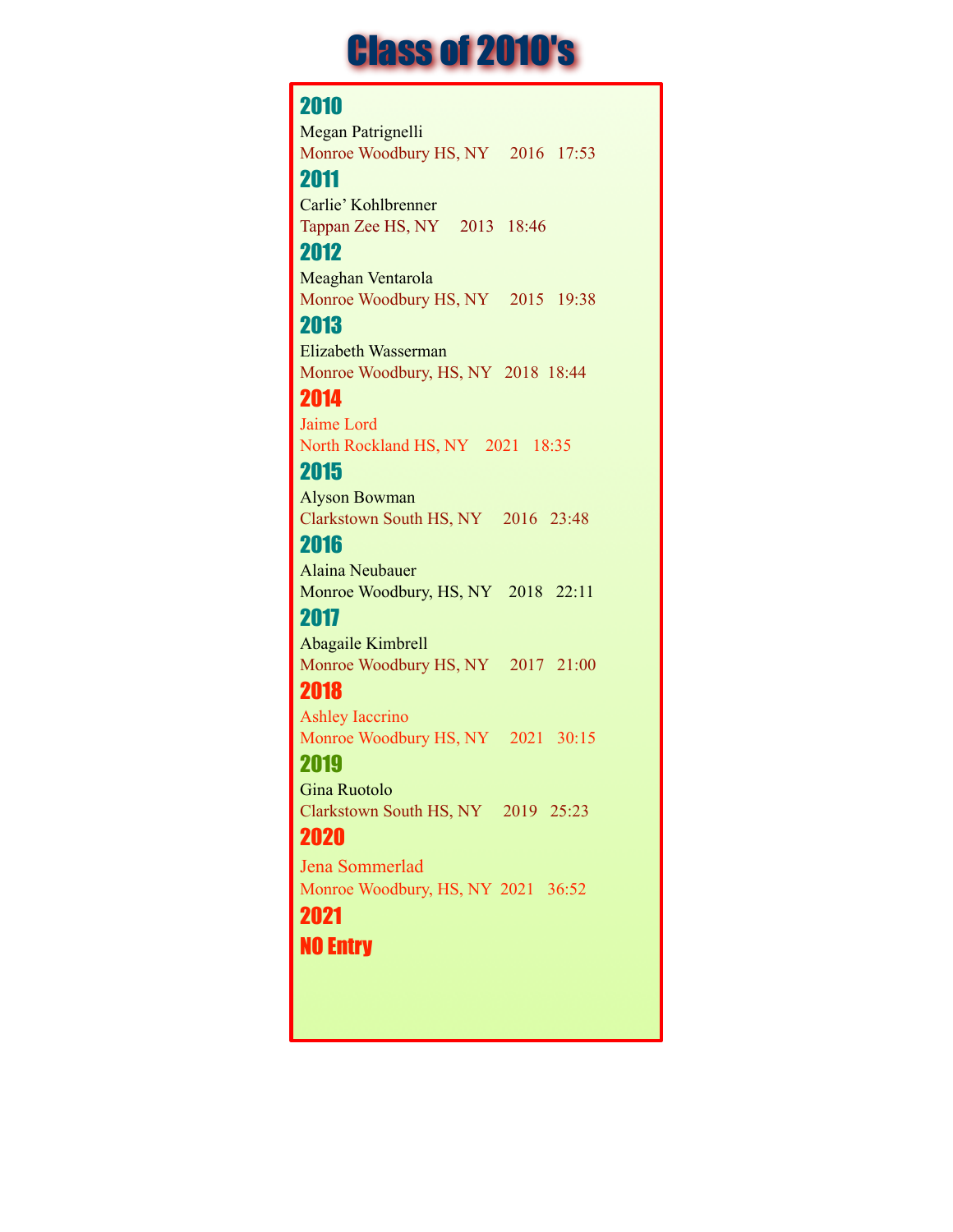## Class of 2010's

### 2010

Megan Patrignelli Monroe Woodbury HS, NY 2016 17:53

### 2011

Carlie' Kohlbrenner Tappan Zee HS, NY 2013 18:46

### 2012

Meaghan Ventarola Monroe Woodbury HS, NY 2015 19:38

### 2013

Elizabeth Wasserman Monroe Woodbury, HS, NY 2018 18:44

### 2014

Jaime Lord North Rockland HS, NY 2021 18:35

### 2015

Alyson Bowman Clarkstown South HS, NY 2016 23:48

### 2016

Alaina Neubauer Monroe Woodbury, HS, NY 2018 22:11

### 2017

Abagaile Kimbrell Monroe Woodbury HS, NY 2017 21:00

### 2018

Ashley Iaccrino Monroe Woodbury HS, NY 2021 30:15

### 2019

Gina Ruotolo Clarkstown South HS, NY 2019 25:23

### 2020

Jena Sommerlad Monroe Woodbury, HS, NY 2021 36:52

### 2021

NO Entry